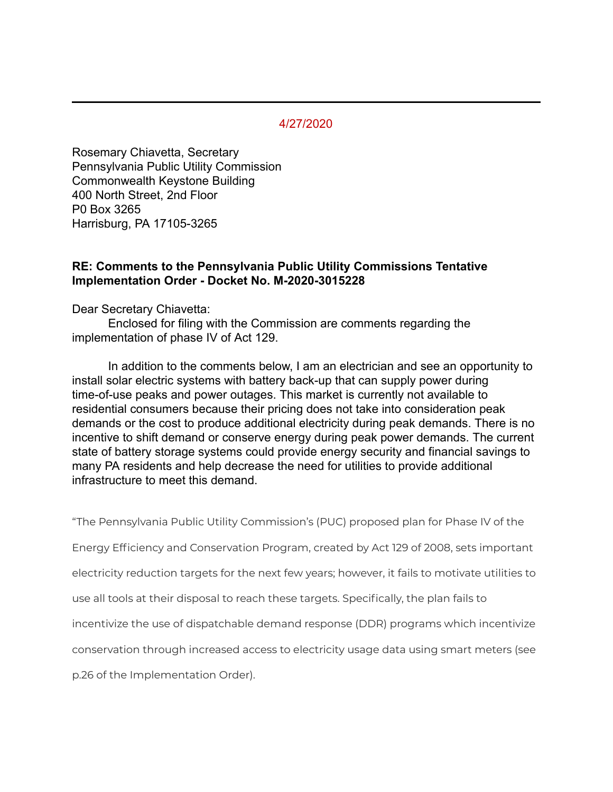## 4/27/2020

Rosemary Chiavetta, Secretary Pennsylvania Public Utility Commission Commonwealth Keystone Building 400 North Street, 2nd Floor P0 Box 3265 Harrisburg, PA 17105-3265

## **RE: Comments to the Pennsylvania Public Utility Commissions Tentative Implementation Order - Docket No. M-2020-3015228**

Dear Secretary Chiavetta:

Enclosed for filing with the Commission are comments regarding the implementation of phase IV of Act 129.

In addition to the comments below, I am an electrician and see an opportunity to install solar electric systems with battery back-up that can supply power during time-of-use peaks and power outages. This market is currently not available to residential consumers because their pricing does not take into consideration peak demands or the cost to produce additional electricity during peak demands. There is no incentive to shift demand or conserve energy during peak power demands. The current state of battery storage systems could provide energy security and financial savings to many PA residents and help decrease the need for utilities to provide additional infrastructure to meet this demand.

"The Pennsylvania Public Utility Commission's (PUC) proposed plan for Phase IV of the

Energy Efficiency and Conservation Program, created by Act 129 of 2008, sets important

electricity reduction targets for the next few years; however, it fails to motivate utilities to

use all tools at their disposal to reach these targets. Specifically, the plan fails to

incentivize the use of dispatchable demand response (DDR) programs which incentivize

conservation through increased access to electricity usage data using smart meters (see

p.26 of the Implementation Order).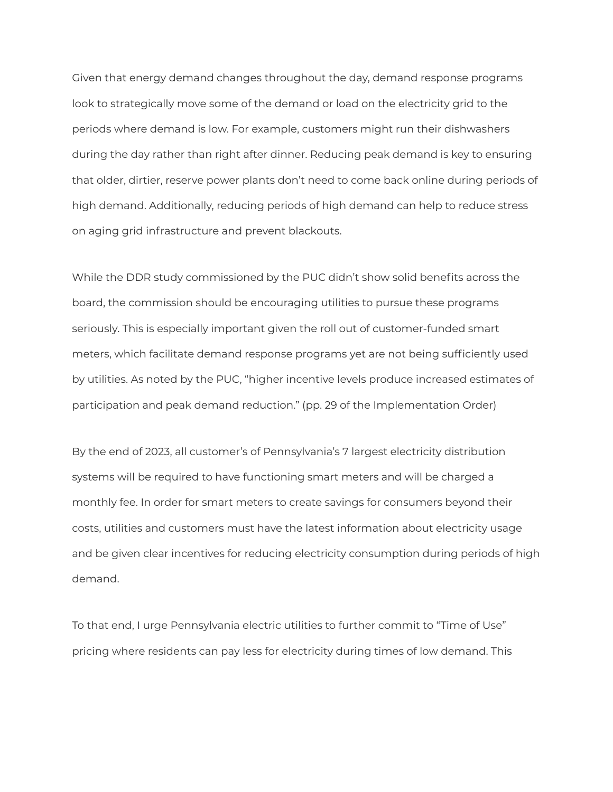Given that energy demand changes throughout the day, demand response programs look to strategically move some of the demand or load on the electricity grid to the periods where demand is low. For example, customers might run their dishwashers during the day rather than right after dinner. Reducing peak demand is key to ensuring that older, dirtier, reserve power plants don't need to come back online during periods of high demand. Additionally, reducing periods of high demand can help to reduce stress on aging grid infrastructure and prevent blackouts.

While the DDR study commissioned by the PUC didn't show solid benefits across the board, the commission should be encouraging utilities to pursue these programs seriously. This is especially important given the roll out of customer-funded smart meters, which facilitate demand response programs yet are not being sufficiently used by utilities. As noted by the PUC, "higher incentive levels produce increased estimates of participation and peak demand reduction." (pp. 29 of the Implementation Order)

By the end of 2023, all customer's of Pennsylvania's 7 largest electricity distribution systems will be required to have functioning smart meters and will be charged a monthly fee. In order for smart meters to create savings for consumers beyond their costs, utilities and customers must have the latest information about electricity usage and be given clear incentives for reducing electricity consumption during periods of high demand.

To that end, I urge Pennsylvania electric utilities to further commit to "Time of Use" pricing where residents can pay less for electricity during times of low demand. This